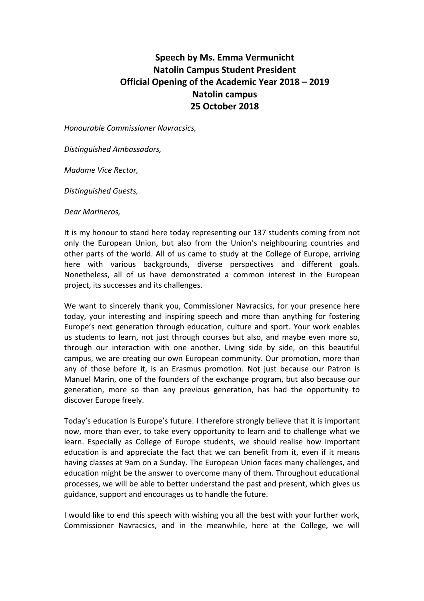## **Speech by Ms. Emma Vermunicht Natolin Campus Student President Official Opening of the Academic Year 2018 – 2019 Natolin campus 25 October 2018**

*Honourable Commissioner Navracsics,*

*Distinguished Ambassadors,* 

*Madame Vice Rector,*

*Distinguished Guests,*

*Dear Marineros,*

It is my honour to stand here today representing our 137 students coming from not only the European Union, but also from the Union's neighbouring countries and other parts of the world. All of us came to study at the College of Europe, arriving here with various backgrounds, diverse perspectives and different goals. Nonetheless, all of us have demonstrated a common interest in the European project, its successes and its challenges.

We want to sincerely thank you, Commissioner Navracsics, for your presence here today, your interesting and inspiring speech and more than anything for fostering Europe's next generation through education, culture and sport. Your work enables us students to learn, not just through courses but also, and maybe even more so, through our interaction with one another. Living side by side, on this beautiful campus, we are creating our own European community. Our promotion, more than any of those before it, is an Erasmus promotion. Not just because our Patron is Manuel Marin, one of the founders of the exchange program, but also because our generation, more so than any previous generation, has had the opportunity to discover Europe freely.

Today's education is Europe's future. I therefore strongly believe that it is important now, more than ever, to take every opportunity to learn and to challenge what we learn. Especially as College of Europe students, we should realise how important education is and appreciate the fact that we can benefit from it, even if it means having classes at 9am on a Sunday. The European Union faces many challenges, and education might be the answer to overcome many of them. Throughout educational processes, we will be able to better understand the past and present, which gives us guidance, support and encourages us to handle the future.

I would like to end this speech with wishing you all the best with your further work, Commissioner Navracsics, and in the meanwhile, here at the College, we will